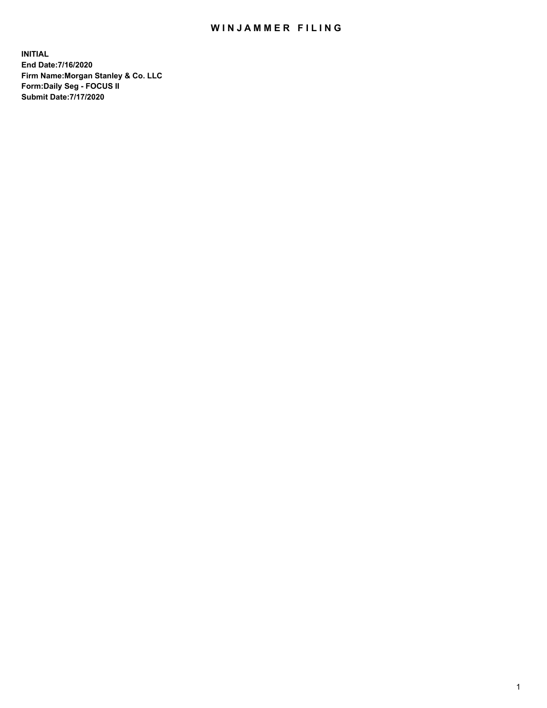## WIN JAMMER FILING

**INITIAL End Date:7/16/2020 Firm Name:Morgan Stanley & Co. LLC Form:Daily Seg - FOCUS II Submit Date:7/17/2020**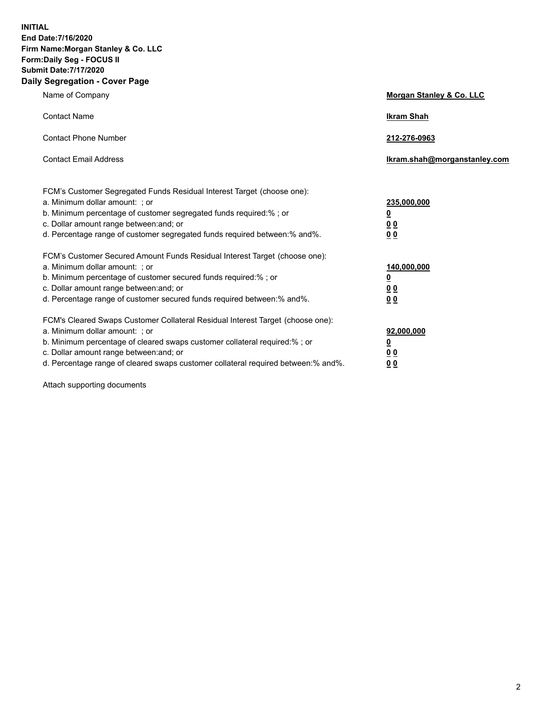**INITIAL End Date:7/16/2020 Firm Name:Morgan Stanley & Co. LLC Form:Daily Seg - FOCUS II Submit Date:7/17/2020 Daily Segregation - Cover Page**

| Name of Company                                                                                                                                                                                                                                                                                                                | Morgan Stanley & Co. LLC                                    |
|--------------------------------------------------------------------------------------------------------------------------------------------------------------------------------------------------------------------------------------------------------------------------------------------------------------------------------|-------------------------------------------------------------|
| <b>Contact Name</b>                                                                                                                                                                                                                                                                                                            | <b>Ikram Shah</b>                                           |
| <b>Contact Phone Number</b>                                                                                                                                                                                                                                                                                                    | 212-276-0963                                                |
| <b>Contact Email Address</b>                                                                                                                                                                                                                                                                                                   | lkram.shah@morganstanley.com                                |
| FCM's Customer Segregated Funds Residual Interest Target (choose one):<br>a. Minimum dollar amount: ; or<br>b. Minimum percentage of customer segregated funds required:% ; or<br>c. Dollar amount range between: and; or<br>d. Percentage range of customer segregated funds required between:% and%.                         | 235,000,000<br><u>0</u><br>0 <sup>0</sup><br>00             |
| FCM's Customer Secured Amount Funds Residual Interest Target (choose one):<br>a. Minimum dollar amount: ; or<br>b. Minimum percentage of customer secured funds required:%; or<br>c. Dollar amount range between: and; or<br>d. Percentage range of customer secured funds required between: % and %.                          | 140,000,000<br><u>0</u><br>0 <sub>0</sub><br>0 <sub>0</sub> |
| FCM's Cleared Swaps Customer Collateral Residual Interest Target (choose one):<br>a. Minimum dollar amount: ; or<br>b. Minimum percentage of cleared swaps customer collateral required:% ; or<br>c. Dollar amount range between: and; or<br>d. Percentage range of cleared swaps customer collateral required between:% and%. | 92,000,000<br><u>0</u><br><u>00</u><br>00                   |

Attach supporting documents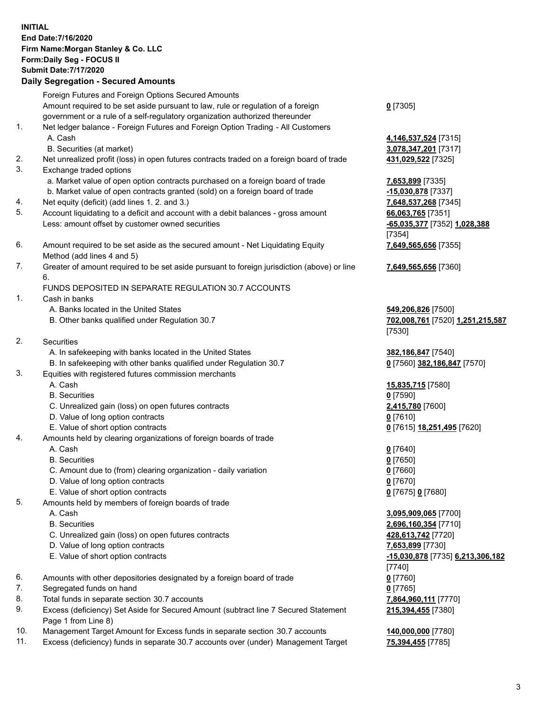## **INITIAL End Date:7/16/2020 Firm Name:Morgan Stanley & Co. LLC Form:Daily Seg - FOCUS II Submit Date:7/17/2020 Daily Segregation - Secured Amounts** Foreign Futures and Foreign Options Secured Amounts Amount required to be set aside pursuant to law, rule or regulation of a foreign government or a rule of a self-regulatory organization authorized thereunder 1. Net ledger balance - Foreign Futures and Foreign Option Trading - All Customers A. Cash **4,146,537,524** [7315] B. Securities (at market) **3,078,347,201** [7317] 2. Net unrealized profit (loss) in open futures contracts traded on a foreign board of trade **431,029,522** [7325] 3. Exchange traded options a. Market value of open option contracts purchased on a foreign board of trade **7,653,899** [7335] b. Market value of open contracts granted (sold) on a foreign board of trade **-15,030,878** [7337] 4. Net equity (deficit) (add lines 1. 2. and 3.) **7,648,537,268** [7345] 5. Account liquidating to a deficit and account with a debit balances - gross amount **66,063,765** [7351] Less: amount offset by customer owned securities **-65,035,377** [7352] **1,028,388**

- 6. Amount required to be set aside as the secured amount Net Liquidating Equity Method (add lines 4 and 5)
- 7. Greater of amount required to be set aside pursuant to foreign jurisdiction (above) or line 6.

## FUNDS DEPOSITED IN SEPARATE REGULATION 30.7 ACCOUNTS

- 1. Cash in banks
	- A. Banks located in the United States **549,206,826** [7500]
	- B. Other banks qualified under Regulation 30.7 **702,008,761** [7520] **1,251,215,587**
- 2. Securities
	- A. In safekeeping with banks located in the United States **382,186,847** [7540]
	- B. In safekeeping with other banks qualified under Regulation 30.7 **0** [7560] **382,186,847** [7570]
- 3. Equities with registered futures commission merchants
	-
	- B. Securities **0** [7590]
	- C. Unrealized gain (loss) on open futures contracts **2,415,780** [7600]
	- D. Value of long option contracts **0** [7610]
- E. Value of short option contracts **0** [7615] **18,251,495** [7620]
- 4. Amounts held by clearing organizations of foreign boards of trade
	- A. Cash **0** [7640]
	- B. Securities **0** [7650]
	- C. Amount due to (from) clearing organization daily variation **0** [7660]
	- D. Value of long option contracts **0** [7670]
	- E. Value of short option contracts **0** [7675] **0** [7680]
- 5. Amounts held by members of foreign boards of trade
	-
	-
	- C. Unrealized gain (loss) on open futures contracts **428,613,742** [7720]
	- D. Value of long option contracts **7,653,899** [7730]
	- E. Value of short option contracts **-15,030,878** [7735] **6,213,306,182**
- 6. Amounts with other depositories designated by a foreign board of trade **0** [7760]
- 7. Segregated funds on hand **0** [7765]
- 8. Total funds in separate section 30.7 accounts **7,864,960,111** [7770]
- 9. Excess (deficiency) Set Aside for Secured Amount (subtract line 7 Secured Statement Page 1 from Line 8)
- 10. Management Target Amount for Excess funds in separate section 30.7 accounts **140,000,000** [7780]
- 11. Excess (deficiency) funds in separate 30.7 accounts over (under) Management Target **75,394,455** [7785]

**0** [7305]

[7354] **7,649,565,656** [7355]

**7,649,565,656** [7360]

[7530]

A. Cash **15,835,715** [7580]

 A. Cash **3,095,909,065** [7700] B. Securities **2,696,160,354** [7710] [7740] **215,394,455** [7380]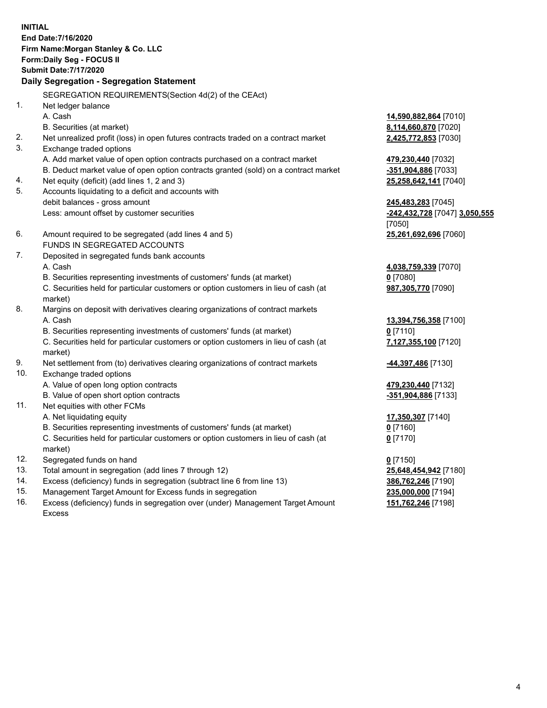**INITIAL End Date:7/16/2020 Firm Name:Morgan Stanley & Co. LLC Form:Daily Seg - FOCUS II Submit Date:7/17/2020 Daily Segregation - Segregation Statement** SEGREGATION REQUIREMENTS(Section 4d(2) of the CEAct) 1. Net ledger balance A. Cash **14,590,882,864** [7010] B. Securities (at market) **8,114,660,870** [7020] 2. Net unrealized profit (loss) in open futures contracts traded on a contract market **2,425,772,853** [7030] 3. Exchange traded options A. Add market value of open option contracts purchased on a contract market **479,230,440** [7032] B. Deduct market value of open option contracts granted (sold) on a contract market **-351,904,886** [7033] 4. Net equity (deficit) (add lines 1, 2 and 3) **25,258,642,141** [7040] 5. Accounts liquidating to a deficit and accounts with debit balances - gross amount **245,483,283** [7045] Less: amount offset by customer securities **-242,432,728** [7047] **3,050,555** [7050] 6. Amount required to be segregated (add lines 4 and 5) **25,261,692,696** [7060] FUNDS IN SEGREGATED ACCOUNTS 7. Deposited in segregated funds bank accounts A. Cash **4,038,759,339** [7070] B. Securities representing investments of customers' funds (at market) **0** [7080] C. Securities held for particular customers or option customers in lieu of cash (at market) **987,305,770** [7090] 8. Margins on deposit with derivatives clearing organizations of contract markets A. Cash **13,394,756,358** [7100] B. Securities representing investments of customers' funds (at market) **0** [7110] C. Securities held for particular customers or option customers in lieu of cash (at market) **7,127,355,100** [7120] 9. Net settlement from (to) derivatives clearing organizations of contract markets **-44,397,486** [7130] 10. Exchange traded options A. Value of open long option contracts **479,230,440** [7132] B. Value of open short option contracts **and the set of our original contracts -351,904,886** [7133] 11. Net equities with other FCMs A. Net liquidating equity **17,350,307** [7140] B. Securities representing investments of customers' funds (at market) **0** [7160] C. Securities held for particular customers or option customers in lieu of cash (at market) **0** [7170] 12. Segregated funds on hand **0** [7150] 13. Total amount in segregation (add lines 7 through 12) **25,648,454,942** [7180] 14. Excess (deficiency) funds in segregation (subtract line 6 from line 13) **386,762,246** [7190] 15. Management Target Amount for Excess funds in segregation **235,000,000** [7194]

16. Excess (deficiency) funds in segregation over (under) Management Target Amount Excess

**151,762,246** [7198]